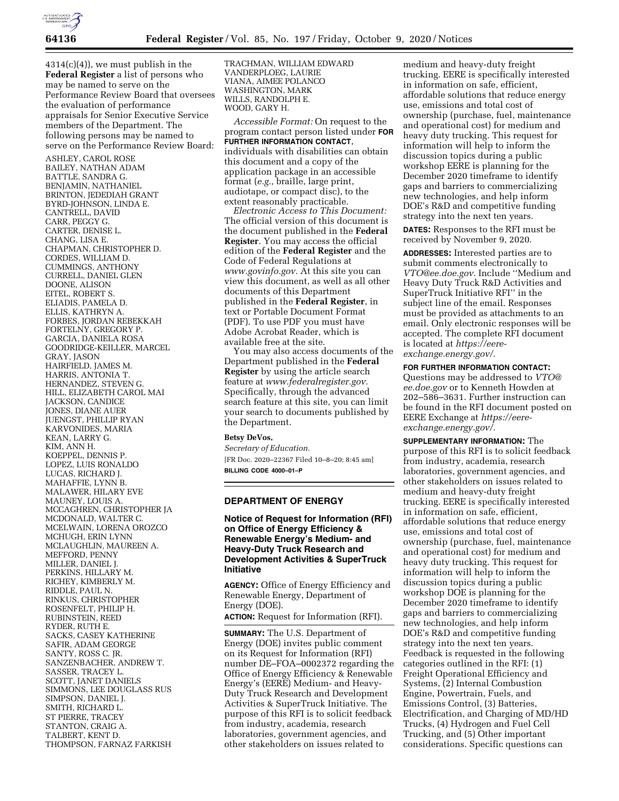

 $4314(c)(4)$ , we must publish in the **Federal Register** a list of persons who may be named to serve on the Performance Review Board that oversees the evaluation of performance appraisals for Senior Executive Service members of the Department. The following persons may be named to serve on the Performance Review Board:

ASHLEY, CAROL ROSE BAILEY, NATHAN ADAM BATTLE, SANDRA G. BENJAMIN, NATHANIEL BRINTON, JEDEDIAH GRANT BYRD-JOHNSON, LINDA E. CANTRELL, DAVID CARR, PEGGY G. CARTER, DENISE L. CHANG, LISA E. CHAPMAN, CHRISTOPHER D. CORDES, WILLIAM D. CUMMINGS, ANTHONY CURRELL, DANIEL GLEN DOONE, ALISON EITEL, ROBERT S. ELIADIS, PAMELA D. ELLIS, KATHRYN A. FORBES, JORDAN REBEKKAH FORTELNY, GREGORY P. GARCIA, DANIELA ROSA GOODRIDGE-KEILLER, MARCEL GRAY, JASON HAIRFIELD, JAMES M. HARRIS, ANTONIA T. HERNANDEZ, STEVEN G. HILL, ELIZABETH CAROL MAI JACKSON, CANDICE JONES, DIANE AUER JUENGST, PHILLIP RYAN KARVONIDES, MARIA KEAN, LARRY G. KIM, ANN H. KOEPPEL, DENNIS P. LOPEZ, LUIS RONALDO LUCAS, RICHARD J. MAHAFFIE, LYNN B. MALAWER, HILARY EVE MAUNEY, LOUIS A. MCCAGHREN, CHRISTOPHER JA MCDONALD, WALTER C. MCELWAIN, LORENA OROZCO MCHUGH, ERIN LYNN MCLAUGHLIN, MAUREEN A. MEFFORD, PENNY MILLER, DANIEL J. PERKINS, HILLARY M. RICHEY, KIMBERLY M. RIDDLE, PAUL N. RINKUS, CHRISTOPHER ROSENFELT, PHILIP H. RUBINSTEIN, REED RYDER, RUTH E. SACKS, CASEY KATHERINE SAFIR, ADAM GEORGE SANTY, ROSS C. JR. SANZENBACHER, ANDREW T. SASSER, TRACEY L. SCOTT, JANET DANIELS SIMMONS, LEE DOUGLASS RUS SIMPSON, DANIEL J. SMITH, RICHARD L. ST PIERRE, TRACEY STANTON, CRAIG A. TALBERT, KENT D. THOMPSON, FARNAZ FARKISH

TRACHMAN, WILLIAM EDWARD VANDERPLOEG, LAURIE VIANA, AIMEE POLANCO WASHINGTON, MARK WILLS, RANDOLPH E. WOOD, GARY H.

*Accessible Format:* On request to the program contact person listed under **FOR FURTHER INFORMATION CONTACT**, individuals with disabilities can obtain this document and a copy of the application package in an accessible format (*e.g.,* braille, large print, audiotape, or compact disc), to the extent reasonably practicable.

*Electronic Access to This Document:*  The official version of this document is the document published in the **Federal Register**. You may access the official edition of the **Federal Register** and the Code of Federal Regulations at *[www.govinfo.gov.](http://www.govinfo.gov)* At this site you can view this document, as well as all other documents of this Department published in the **Federal Register**, in text or Portable Document Format (PDF). To use PDF you must have Adobe Acrobat Reader, which is available free at the site.

You may also access documents of the Department published in the **Federal Register** by using the article search feature at *[www.federalregister.gov.](http://www.federalregister.gov)*  Specifically, through the advanced search feature at this site, you can limit your search to documents published by the Department.

#### **Betsy DeVos,**

*Secretary of Education.*  [FR Doc. 2020–22367 Filed 10–8–20; 8:45 am] **BILLING CODE 4000–01–P** 

#### **DEPARTMENT OF ENERGY**

### **Notice of Request for Information (RFI) on Office of Energy Efficiency & Renewable Energy's Medium- and Heavy-Duty Truck Research and Development Activities & SuperTruck Initiative**

**AGENCY:** Office of Energy Efficiency and Renewable Energy, Department of Energy (DOE).

**ACTION:** Request for Information (RFI).

**SUMMARY:** The U.S. Department of Energy (DOE) invites public comment on its Request for Information (RFI) number DE–FOA–0002372 regarding the Office of Energy Efficiency & Renewable Energy's (EERE) Medium- and Heavy-Duty Truck Research and Development Activities & SuperTruck Initiative. The purpose of this RFI is to solicit feedback from industry, academia, research laboratories, government agencies, and other stakeholders on issues related to

medium and heavy-duty freight trucking. EERE is specifically interested in information on safe, efficient, affordable solutions that reduce energy use, emissions and total cost of ownership (purchase, fuel, maintenance and operational cost) for medium and heavy duty trucking. This request for information will help to inform the discussion topics during a public workshop EERE is planning for the December 2020 timeframe to identify gaps and barriers to commercializing new technologies, and help inform DOE's R&D and competitive funding strategy into the next ten years.

**DATES:** Responses to the RFI must be received by November 9, 2020.

**ADDRESSES:** Interested parties are to submit comments electronically to *[VTO@ee.doe.gov.](mailto:VTO@ee.doe.gov)* Include ''Medium and Heavy Duty Truck R&D Activities and SuperTruck Initiative RFI'' in the subject line of the email. Responses must be provided as attachments to an email. Only electronic responses will be accepted. The complete RFI document is located at *[https://eere](https://eere-exchange.energy.gov/)[exchange.energy.gov/.](https://eere-exchange.energy.gov/)* 

# **FOR FURTHER INFORMATION CONTACT:**

Questions may be addressed to *[VTO@](mailto:VTO@ee.doe.gov) [ee.doe.gov](mailto:VTO@ee.doe.gov)* or to Kenneth Howden at 202–586–3631. Further instruction can be found in the RFI document posted on EERE Exchange at *[https://eere](https://eere-exchange.energy.gov/)[exchange.energy.gov/.](https://eere-exchange.energy.gov/)* 

**SUPPLEMENTARY INFORMATION:** The purpose of this RFI is to solicit feedback from industry, academia, research laboratories, government agencies, and other stakeholders on issues related to medium and heavy-duty freight trucking. EERE is specifically interested in information on safe, efficient, affordable solutions that reduce energy use, emissions and total cost of ownership (purchase, fuel, maintenance and operational cost) for medium and heavy duty trucking. This request for information will help to inform the discussion topics during a public workshop DOE is planning for the December 2020 timeframe to identify gaps and barriers to commercializing new technologies, and help inform DOE's R&D and competitive funding strategy into the next ten years. Feedback is requested in the following categories outlined in the RFI: (1) Freight Operational Efficiency and Systems, (2) Internal Combustion Engine, Powertrain, Fuels, and Emissions Control, (3) Batteries, Electrification, and Charging of MD/HD Trucks, (4) Hydrogen and Fuel Cell Trucking, and (5) Other important considerations. Specific questions can